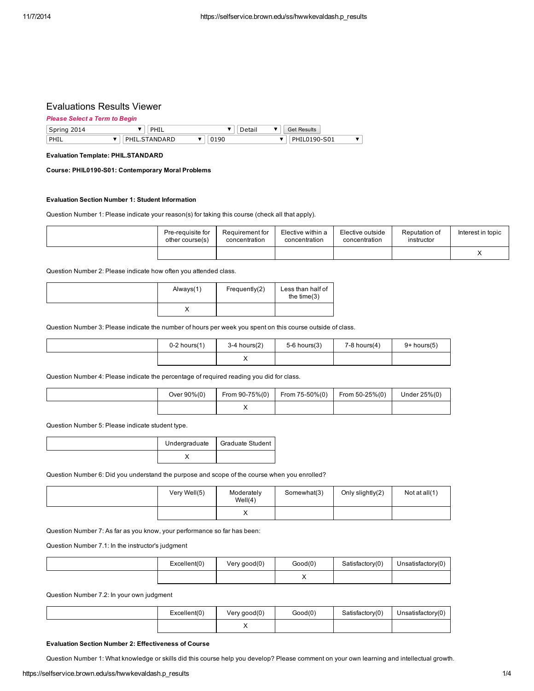# Evaluations Results Viewer

### *Please Select a Term to Begin*

| Spring 2014 | PHI<br>---    | Detail | $\overline{\phantom{a}}$<br><b>Get Results</b> |  |
|-------------|---------------|--------|------------------------------------------------|--|
| PHIL        | PHIL.STANDARD | 0190   | PHIL0190-S01                                   |  |

### Evaluation Template: PHIL.STANDARD

Course: PHIL0190-S01: Contemporary Moral Problems

# Evaluation Section Number 1: Student Information

Question Number 1: Please indicate your reason(s) for taking this course (check all that apply).

| Pre-requisite for<br>other course(s) | Requirement for<br>concentration | Elective within a<br>concentration | Elective outside<br>concentration | Reputation of<br>instructor | Interest in topic |
|--------------------------------------|----------------------------------|------------------------------------|-----------------------------------|-----------------------------|-------------------|
|                                      |                                  |                                    |                                   |                             |                   |

Question Number 2: Please indicate how often you attended class.

| Always(1) | Frequently(2) | Less than half of<br>the time $(3)$ |
|-----------|---------------|-------------------------------------|
|           |               |                                     |

Question Number 3: Please indicate the number of hours per week you spent on this course outside of class.

| $0-2$ hours $(1)$ | 3-4 hours(2) | 5-6 hours(3) | 7-8 hours(4) | $9+ hours(5)$ |
|-------------------|--------------|--------------|--------------|---------------|
|                   |              |              |              |               |

Question Number 4: Please indicate the percentage of required reading you did for class.

| Over 90%(0) | From 90-75%(0) | From 75-50%(0) | From 50-25%(0) | Under 25%(0) |
|-------------|----------------|----------------|----------------|--------------|
|             |                |                |                |              |

Question Number 5: Please indicate student type.

| Undergraduate | <b>Graduate Student</b> |
|---------------|-------------------------|
|               |                         |

Question Number 6: Did you understand the purpose and scope of the course when you enrolled?

| Very Well(5) | Moderately<br>Well(4) | Somewhat(3) | Only slightly(2) | Not at $all(1)$ |
|--------------|-----------------------|-------------|------------------|-----------------|
|              | $\lambda$             |             |                  |                 |

Question Number 7: As far as you know, your performance so far has been:

Question Number 7.1: In the instructor's judgment

| Excellent(0) | Very good(0) | Good(0) | Satisfactory(0) | Unsatisfactory $(0)$ |
|--------------|--------------|---------|-----------------|----------------------|
|              |              |         |                 |                      |

Question Number 7.2: In your own judgment

| Excellent(0) | Very $good(0)$ | Good(0) | Satisfactory(0) | Unsatisfactory $(0)$ |
|--------------|----------------|---------|-----------------|----------------------|
|              | $\cdot$        |         |                 |                      |

## Evaluation Section Number 2: Effectiveness of Course

Question Number 1: What knowledge or skills did this course help you develop? Please comment on your own learning and intellectual growth.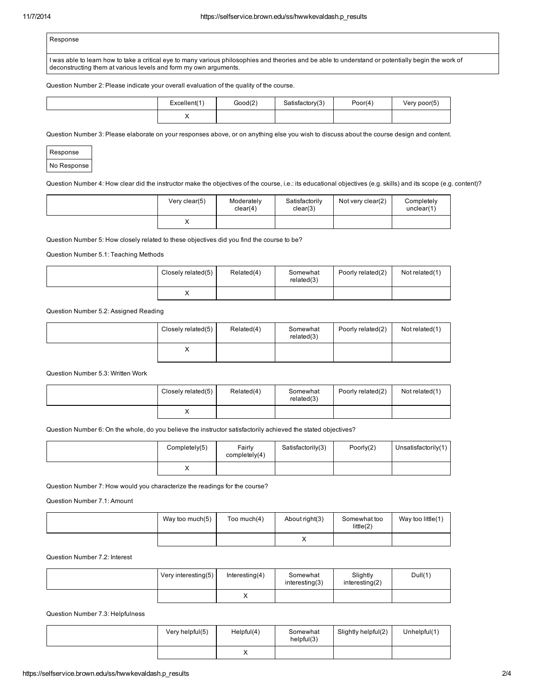| Response                                                                                                                                                                                                                |
|-------------------------------------------------------------------------------------------------------------------------------------------------------------------------------------------------------------------------|
| I was able to learn how to take a critical eve to many various philosophies and theories and be able to understand or potentially begin the work of<br>deconstructing them at various levels and form my own arguments. |

Question Number 2: Please indicate your overall evaluation of the quality of the course.

| Excellent(1) | Good(2) | Satisfactory(3) | Poor(4) | Very poor(5) |
|--------------|---------|-----------------|---------|--------------|
| ,,           |         |                 |         |              |

Question Number 3: Please elaborate on your responses above, or on anything else you wish to discuss about the course design and content.



Question Number 4: How clear did the instructor make the objectives of the course, i.e.: its educational objectives (e.g. skills) and its scope (e.g. content)?

| Very clear(5) | Moderately<br>clear(4) | Satisfactorily<br>clear(3) | Not very clear(2) | Completely<br>unclear(1) |
|---------------|------------------------|----------------------------|-------------------|--------------------------|
| ⌒             |                        |                            |                   |                          |

Question Number 5: How closely related to these objectives did you find the course to be?

Question Number 5.1: Teaching Methods

| Closely related(5) | Related(4) | Somewhat<br>related(3) | Poorly related(2) | Not related(1) |
|--------------------|------------|------------------------|-------------------|----------------|
| ⌒                  |            |                        |                   |                |

Question Number 5.2: Assigned Reading

| Closely related(5)        | Related(4) | Somewhat<br>related(3) | Poorly related(2) | Not related(1) |
|---------------------------|------------|------------------------|-------------------|----------------|
| $\checkmark$<br>$\lambda$ |            |                        |                   |                |

Question Number 5.3: Written Work

| Closely related(5) | Related(4) | Somewhat<br>related(3) | Poorly related(2) | Not related(1) |
|--------------------|------------|------------------------|-------------------|----------------|
| "                  |            |                        |                   |                |

Question Number 6: On the whole, do you believe the instructor satisfactorily achieved the stated objectives?

| Completely(5) | Fairly<br>completely(4) | Satisfactorily(3) | Poorly $(2)$ | Unsatisfactorily(1) |
|---------------|-------------------------|-------------------|--------------|---------------------|
| "             |                         |                   |              |                     |

Question Number 7: How would you characterize the readings for the course?

Question Number 7.1: Amount

| Way too much(5) | Too much $(4)$ | About right(3) | Somewhat too<br>little(2) | Way too little(1) |
|-----------------|----------------|----------------|---------------------------|-------------------|
|                 |                | ~              |                           |                   |

Question Number 7.2: Interest

| Very interesting(5) | Interesting $(4)$ | Somewhat<br>interesting(3) | Slightly<br>interesting $(2)$ | Dull(1) |
|---------------------|-------------------|----------------------------|-------------------------------|---------|
|                     |                   |                            |                               |         |

Question Number 7.3: Helpfulness

| Very helpful(5) | Helpful(4) | Somewhat<br>helpful(3) | Slightly helpful(2) | Unhelpful(1) |
|-----------------|------------|------------------------|---------------------|--------------|
|                 | $\lambda$  |                        |                     |              |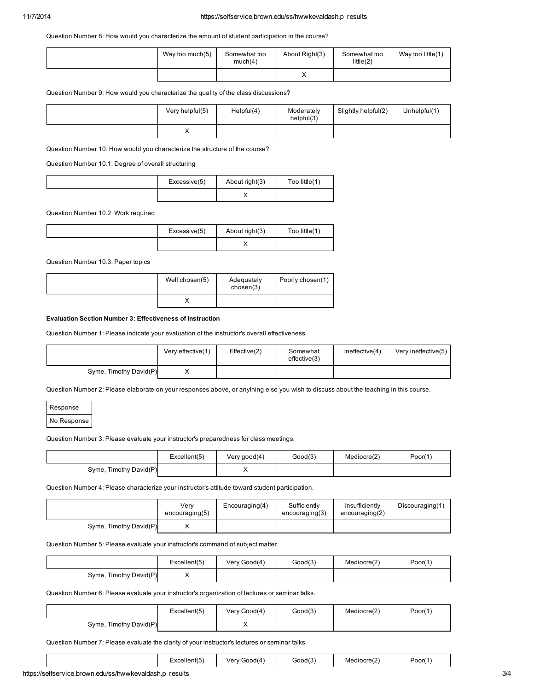#### Question Number 8: How would you characterize the amount of student participation in the course?

| Way too much(5) | Somewhat too<br>much(4) | About Right(3) | Somewhat too<br>little(2) | Way too little(1) |
|-----------------|-------------------------|----------------|---------------------------|-------------------|
|                 |                         |                |                           |                   |

Question Number 9: How would you characterize the quality of the class discussions?

| Very helpful(5)           | Helpful(4) | Moderately<br>helpful(3) | Slightly helpful(2) | Unhelpful(1) |
|---------------------------|------------|--------------------------|---------------------|--------------|
| $\checkmark$<br>$\lambda$ |            |                          |                     |              |

Question Number 10: How would you characterize the structure of the course?

Question Number 10.1: Degree of overall structuring

| Excessive(5) | About right(3) | Too little(1) |
|--------------|----------------|---------------|
|              |                |               |

Question Number 10.2: Work required

| Excessive(5) | About right(3) | Too little(1) |
|--------------|----------------|---------------|
|              |                |               |

Question Number 10.3: Paper topics

| Well chosen(5) | Adequately<br>chosen(3) | Poorly chosen(1) |
|----------------|-------------------------|------------------|
|                |                         |                  |

#### Evaluation Section Number 3: Effectiveness of Instruction

Question Number 1: Please indicate your evaluation of the instructor's overall effectiveness.

|                        | Very effective(1) | Effective(2) | Somewhat<br>effective(3) | Ineffective(4) | Very ineffective(5) |
|------------------------|-------------------|--------------|--------------------------|----------------|---------------------|
| Syme, Timothy David(P) |                   |              |                          |                |                     |

Question Number 2: Please elaborate on your responses above, or anything else you wish to discuss about the teaching in this course.

Response No Response

Question Number 3: Please evaluate your instructor's preparedness for class meetings.

|                        | Excellent(5) | Very good(4) | Good(3) | Mediocre(2) | Poor(1) |
|------------------------|--------------|--------------|---------|-------------|---------|
| Syme, Timothy David(P) |              |              |         |             |         |

Question Number 4: Please characterize your instructor's attitude toward student participation.

|                        | Verv<br>encouraging(5) | Encouraging(4) | Sufficiently<br>encouraging(3) | Insufficiently<br>encouraging(2) | Discouraging(1) |
|------------------------|------------------------|----------------|--------------------------------|----------------------------------|-----------------|
| Syme, Timothy David(P) | ↗                      |                |                                |                                  |                 |

Question Number 5: Please evaluate your instructor's command of subject matter.

|                        | Excellent(5) | Very Good(4) | Good(3) | Mediocre(2) | Poor(1) |
|------------------------|--------------|--------------|---------|-------------|---------|
| Syme, Timothy David(P) |              |              |         |             |         |

Question Number 6: Please evaluate your instructor's organization of lectures or seminar talks.

|                        | Excellent(5) | Very Good(4) | Good(3) | Mediocre(2) | Poor(1) |
|------------------------|--------------|--------------|---------|-------------|---------|
| Syme, Timothy David(P) |              |              |         |             |         |

Question Number 7: Please evaluate the clarity of your instructor's lectures or seminar talks.

Excellent(5) Very Good(4) Good(3) Mediocre(2) Poor(1)